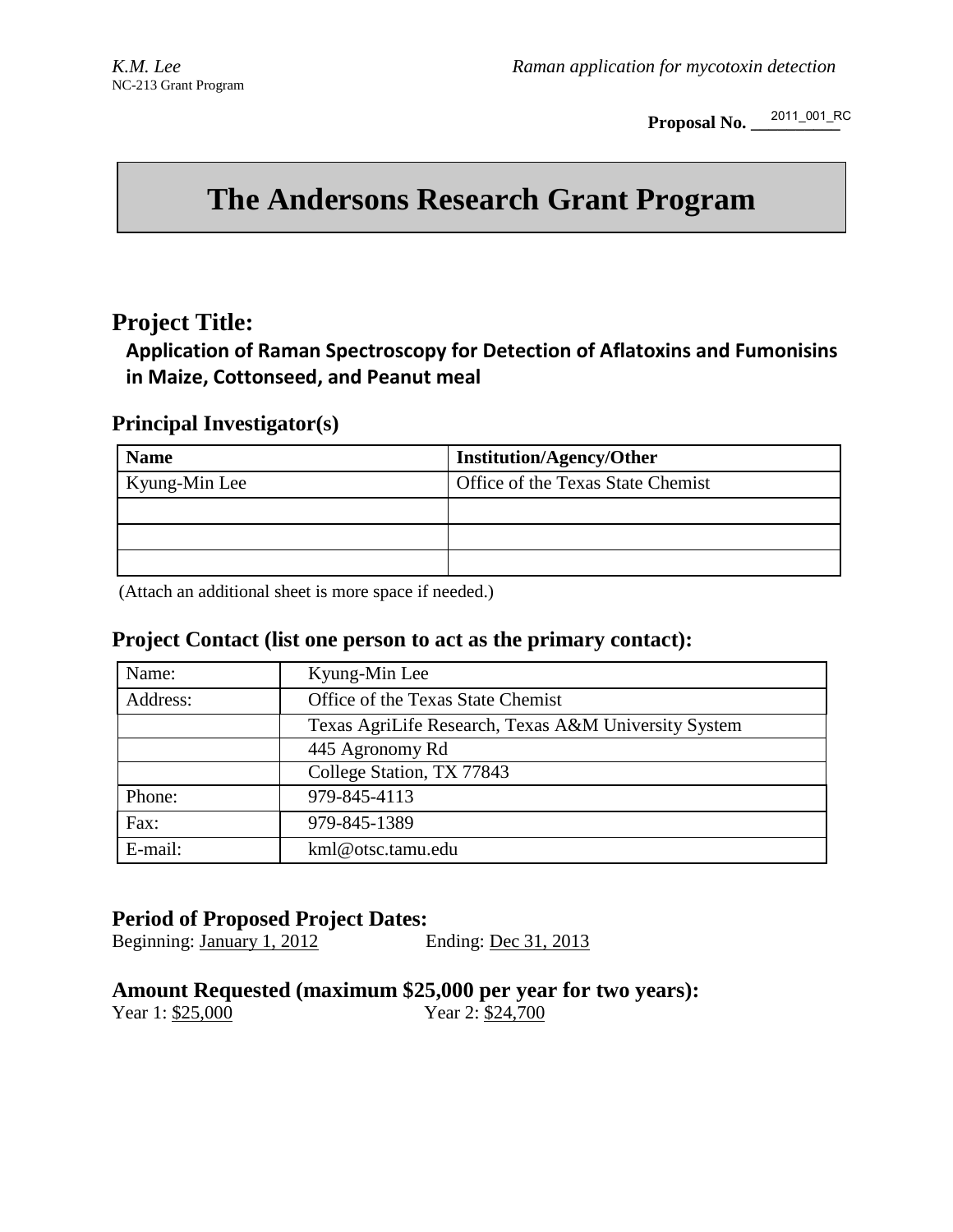**Proposal No. \_\_\_\_\_\_\_\_\_\_**  2011\_001\_RC

# **The Andersons Research Grant Program**

# **Project Title:**

**Application of Raman Spectroscopy for Detection of Aflatoxins and Fumonisins in Maize, Cottonseed, and Peanut meal** 

# **Principal Investigator(s)**

| <b>Name</b>   | <b>Institution/Agency/Other</b>   |
|---------------|-----------------------------------|
| Kyung-Min Lee | Office of the Texas State Chemist |
|               |                                   |
|               |                                   |
|               |                                   |

(Attach an additional sheet is more space if needed.)

# **Project Contact (list one person to act as the primary contact):**

| Name:    | Kyung-Min Lee                                        |  |  |
|----------|------------------------------------------------------|--|--|
| Address: | Office of the Texas State Chemist                    |  |  |
|          | Texas AgriLife Research, Texas A&M University System |  |  |
|          | 445 Agronomy Rd                                      |  |  |
|          | College Station, TX 77843                            |  |  |
| Phone:   | 979-845-4113                                         |  |  |
| Fax:     | 979-845-1389                                         |  |  |
| E-mail:  | kml@otsc.tamu.edu                                    |  |  |

# **Period of Proposed Project Dates:**

Beginning: January 1, 2012 Ending: Dec 31, 2013

# **Amount Requested (maximum \$25,000 per year for two years):**<br>Year 1: \$25,000 Year 2: \$24,700

Year 2: \$24,700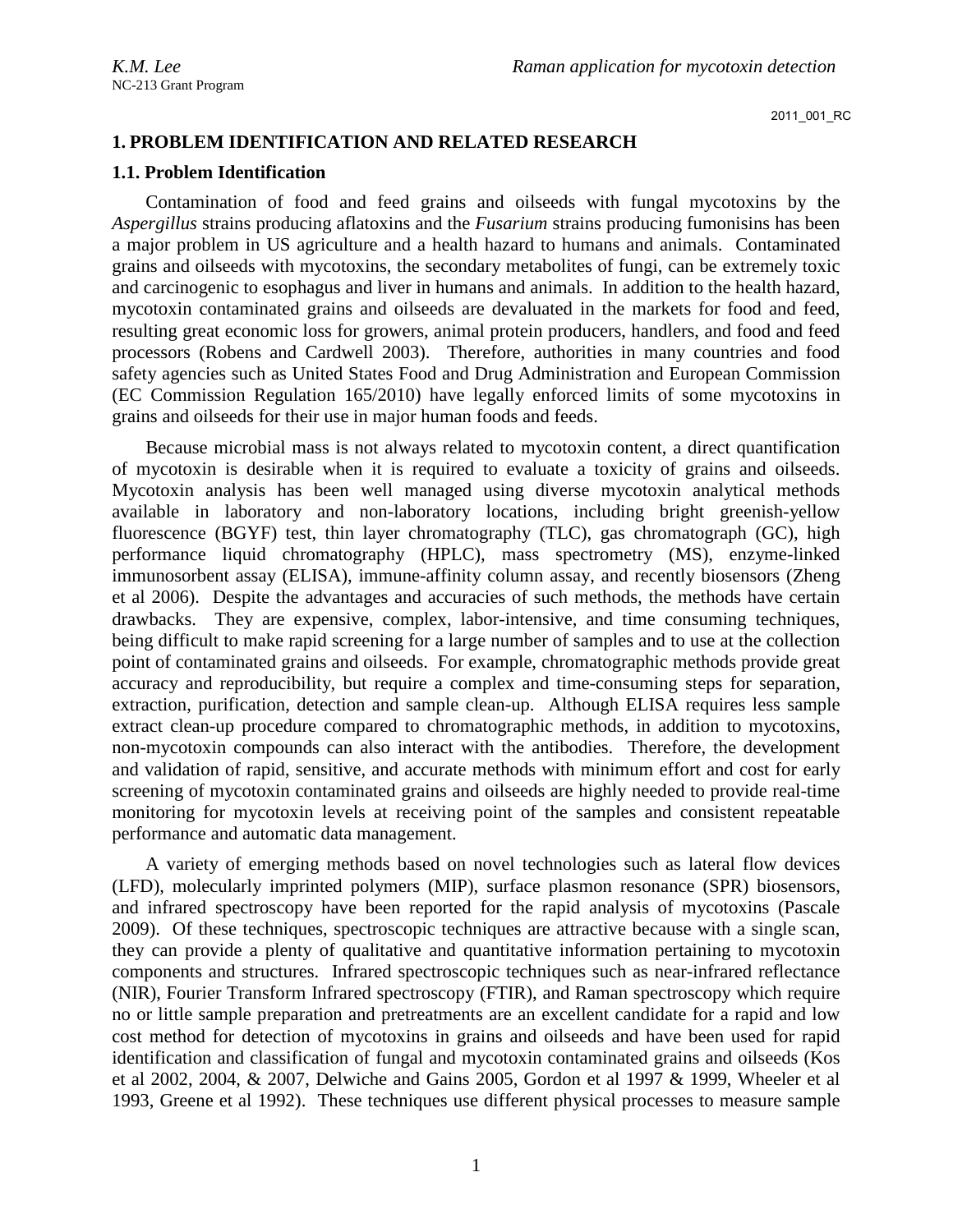# **1. PROBLEM IDENTIFICATION AND RELATED RESEARCH**

### **1.1. Problem Identification**

Contamination of food and feed grains and oilseeds with fungal mycotoxins by the *Aspergillus* strains producing aflatoxins and the *Fusarium* strains producing fumonisins has been a major problem in US agriculture and a health hazard to humans and animals. Contaminated grains and oilseeds with mycotoxins, the secondary metabolites of fungi, can be extremely toxic and carcinogenic to esophagus and liver in humans and animals. In addition to the health hazard, mycotoxin contaminated grains and oilseeds are devaluated in the markets for food and feed, resulting great economic loss for growers, animal protein producers, handlers, and food and feed processors (Robens and Cardwell 2003). Therefore, authorities in many countries and food safety agencies such as United States Food and Drug Administration and European Commission (EC Commission Regulation 165/2010) have legally enforced limits of some mycotoxins in grains and oilseeds for their use in major human foods and feeds.

Because microbial mass is not always related to mycotoxin content, a direct quantification of mycotoxin is desirable when it is required to evaluate a toxicity of grains and oilseeds. Mycotoxin analysis has been well managed using diverse mycotoxin analytical methods available in laboratory and non-laboratory locations, including bright greenish-yellow fluorescence (BGYF) test, thin layer chromatography (TLC), gas chromatograph (GC), high performance liquid chromatography (HPLC), mass spectrometry (MS), enzyme-linked immunosorbent assay (ELISA), immune-affinity column assay, and recently biosensors (Zheng et al 2006). Despite the advantages and accuracies of such methods, the methods have certain drawbacks. They are expensive, complex, labor-intensive, and time consuming techniques, being difficult to make rapid screening for a large number of samples and to use at the collection point of contaminated grains and oilseeds. For example, chromatographic methods provide great accuracy and reproducibility, but require a complex and time-consuming steps for separation, extraction, purification, detection and sample clean-up. Although ELISA requires less sample extract clean-up procedure compared to chromatographic methods, in addition to mycotoxins, non-mycotoxin compounds can also interact with the antibodies. Therefore, the development and validation of rapid, sensitive, and accurate methods with minimum effort and cost for early screening of mycotoxin contaminated grains and oilseeds are highly needed to provide real-time monitoring for mycotoxin levels at receiving point of the samples and consistent repeatable performance and automatic data management.

A variety of emerging methods based on novel technologies such as lateral flow devices (LFD), molecularly imprinted polymers (MIP), surface plasmon resonance (SPR) biosensors, and infrared spectroscopy have been reported for the rapid analysis of mycotoxins (Pascale 2009). Of these techniques, spectroscopic techniques are attractive because with a single scan, they can provide a plenty of qualitative and quantitative information pertaining to mycotoxin components and structures. Infrared spectroscopic techniques such as near-infrared reflectance (NIR), Fourier Transform Infrared spectroscopy (FTIR), and Raman spectroscopy which require no or little sample preparation and pretreatments are an excellent candidate for a rapid and low cost method for detection of mycotoxins in grains and oilseeds and have been used for rapid identification and classification of fungal and mycotoxin contaminated grains and oilseeds (Kos et al 2002, 2004, & 2007, Delwiche and Gains 2005, Gordon et al 1997 & 1999, Wheeler et al 1993, Greene et al 1992). These techniques use different physical processes to measure sample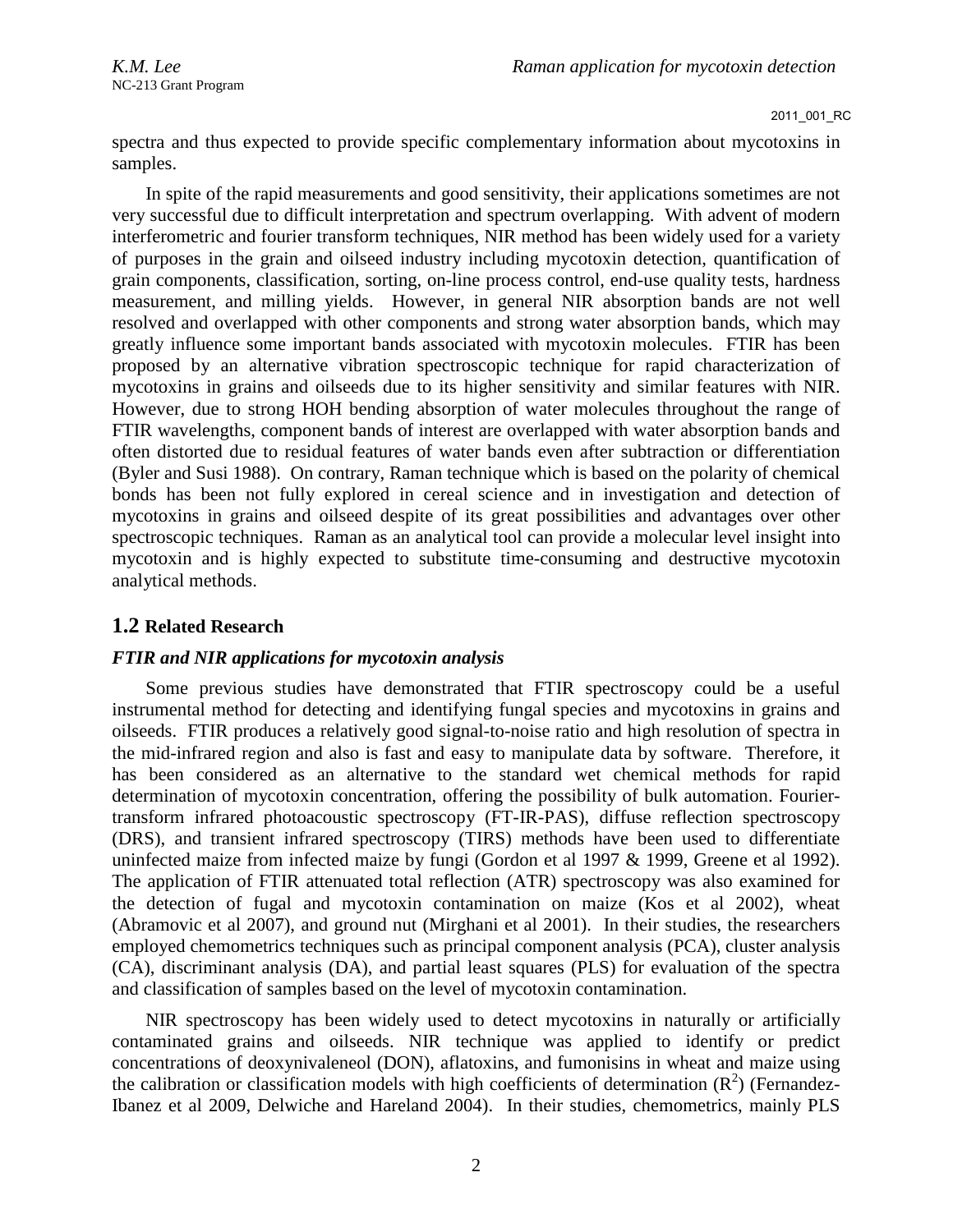spectra and thus expected to provide specific complementary information about mycotoxins in samples.

In spite of the rapid measurements and good sensitivity, their applications sometimes are not very successful due to difficult interpretation and spectrum overlapping. With advent of modern interferometric and fourier transform techniques, NIR method has been widely used for a variety of purposes in the grain and oilseed industry including mycotoxin detection, quantification of grain components, classification, sorting, on-line process control, end-use quality tests, hardness measurement, and milling yields. However, in general NIR absorption bands are not well resolved and overlapped with other components and strong water absorption bands, which may greatly influence some important bands associated with mycotoxin molecules. FTIR has been proposed by an alternative vibration spectroscopic technique for rapid characterization of mycotoxins in grains and oilseeds due to its higher sensitivity and similar features with NIR. However, due to strong HOH bending absorption of water molecules throughout the range of FTIR wavelengths, component bands of interest are overlapped with water absorption bands and often distorted due to residual features of water bands even after subtraction or differentiation (Byler and Susi 1988). On contrary, Raman technique which is based on the polarity of chemical bonds has been not fully explored in cereal science and in investigation and detection of mycotoxins in grains and oilseed despite of its great possibilities and advantages over other spectroscopic techniques. Raman as an analytical tool can provide a molecular level insight into mycotoxin and is highly expected to substitute time-consuming and destructive mycotoxin analytical methods.

# **1.2 Related Research**

# *FTIR and NIR applications for mycotoxin analysis*

Some previous studies have demonstrated that FTIR spectroscopy could be a useful instrumental method for detecting and identifying fungal species and mycotoxins in grains and oilseeds. FTIR produces a relatively good signal-to-noise ratio and high resolution of spectra in the mid-infrared region and also is fast and easy to manipulate data by software. Therefore, it has been considered as an alternative to the standard wet chemical methods for rapid determination of mycotoxin concentration, offering the possibility of bulk automation. Fouriertransform infrared photoacoustic spectroscopy (FT-IR-PAS), diffuse reflection spectroscopy (DRS), and transient infrared spectroscopy (TIRS) methods have been used to differentiate uninfected maize from infected maize by fungi (Gordon et al 1997 & 1999, Greene et al 1992). The application of FTIR attenuated total reflection (ATR) spectroscopy was also examined for the detection of fugal and mycotoxin contamination on maize (Kos et al 2002), wheat (Abramovic et al 2007), and ground nut (Mirghani et al 2001). In their studies, the researchers employed chemometrics techniques such as principal component analysis (PCA), cluster analysis (CA), discriminant analysis (DA), and partial least squares (PLS) for evaluation of the spectra and classification of samples based on the level of mycotoxin contamination.

NIR spectroscopy has been widely used to detect mycotoxins in naturally or artificially contaminated grains and oilseeds. NIR technique was applied to identify or predict concentrations of deoxynivaleneol (DON), aflatoxins, and fumonisins in wheat and maize using the calibration or classification models with high coefficients of determination  $(R^2)$  (Fernandez-Ibanez et al 2009, Delwiche and Hareland 2004). In their studies, chemometrics, mainly PLS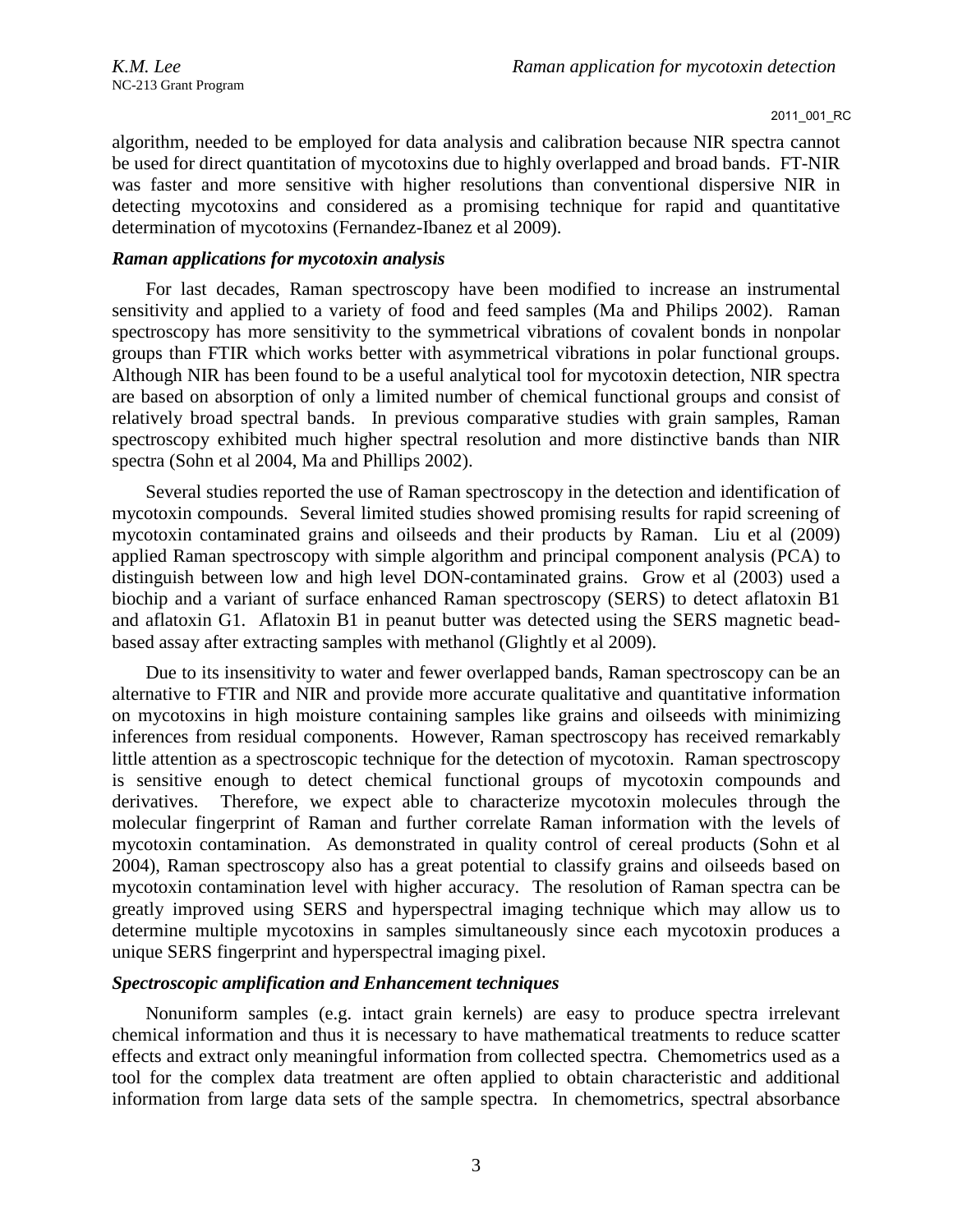algorithm, needed to be employed for data analysis and calibration because NIR spectra cannot be used for direct quantitation of mycotoxins due to highly overlapped and broad bands. FT-NIR was faster and more sensitive with higher resolutions than conventional dispersive NIR in detecting mycotoxins and considered as a promising technique for rapid and quantitative determination of mycotoxins (Fernandez-Ibanez et al 2009).

### *Raman applications for mycotoxin analysis*

For last decades, Raman spectroscopy have been modified to increase an instrumental sensitivity and applied to a variety of food and feed samples (Ma and Philips 2002). Raman spectroscopy has more sensitivity to the symmetrical vibrations of covalent bonds in nonpolar groups than FTIR which works better with asymmetrical vibrations in polar functional groups. Although NIR has been found to be a useful analytical tool for mycotoxin detection, NIR spectra are based on absorption of only a limited number of chemical functional groups and consist of relatively broad spectral bands. In previous comparative studies with grain samples, Raman spectroscopy exhibited much higher spectral resolution and more distinctive bands than NIR spectra (Sohn et al 2004, Ma and Phillips 2002).

Several studies reported the use of Raman spectroscopy in the detection and identification of mycotoxin compounds. Several limited studies showed promising results for rapid screening of mycotoxin contaminated grains and oilseeds and their products by Raman. Liu et al (2009) applied Raman spectroscopy with simple algorithm and principal component analysis (PCA) to distinguish between low and high level DON-contaminated grains. Grow et al (2003) used a biochip and a variant of surface enhanced Raman spectroscopy (SERS) to detect aflatoxin B1 and aflatoxin G1. Aflatoxin B1 in peanut butter was detected using the SERS magnetic beadbased assay after extracting samples with methanol (Glightly et al 2009).

Due to its insensitivity to water and fewer overlapped bands, Raman spectroscopy can be an alternative to FTIR and NIR and provide more accurate qualitative and quantitative information on mycotoxins in high moisture containing samples like grains and oilseeds with minimizing inferences from residual components. However, Raman spectroscopy has received remarkably little attention as a spectroscopic technique for the detection of mycotoxin. Raman spectroscopy is sensitive enough to detect chemical functional groups of mycotoxin compounds and derivatives. Therefore, we expect able to characterize mycotoxin molecules through the molecular fingerprint of Raman and further correlate Raman information with the levels of mycotoxin contamination. As demonstrated in quality control of cereal products (Sohn et al 2004), Raman spectroscopy also has a great potential to classify grains and oilseeds based on mycotoxin contamination level with higher accuracy. The resolution of Raman spectra can be greatly improved using SERS and hyperspectral imaging technique which may allow us to determine multiple mycotoxins in samples simultaneously since each mycotoxin produces a unique SERS fingerprint and hyperspectral imaging pixel.

## *Spectroscopic amplification and Enhancement techniques*

Nonuniform samples (e.g. intact grain kernels) are easy to produce spectra irrelevant chemical information and thus it is necessary to have mathematical treatments to reduce scatter effects and extract only meaningful information from collected spectra. Chemometrics used as a tool for the complex data treatment are often applied to obtain characteristic and additional information from large data sets of the sample spectra. In chemometrics, spectral absorbance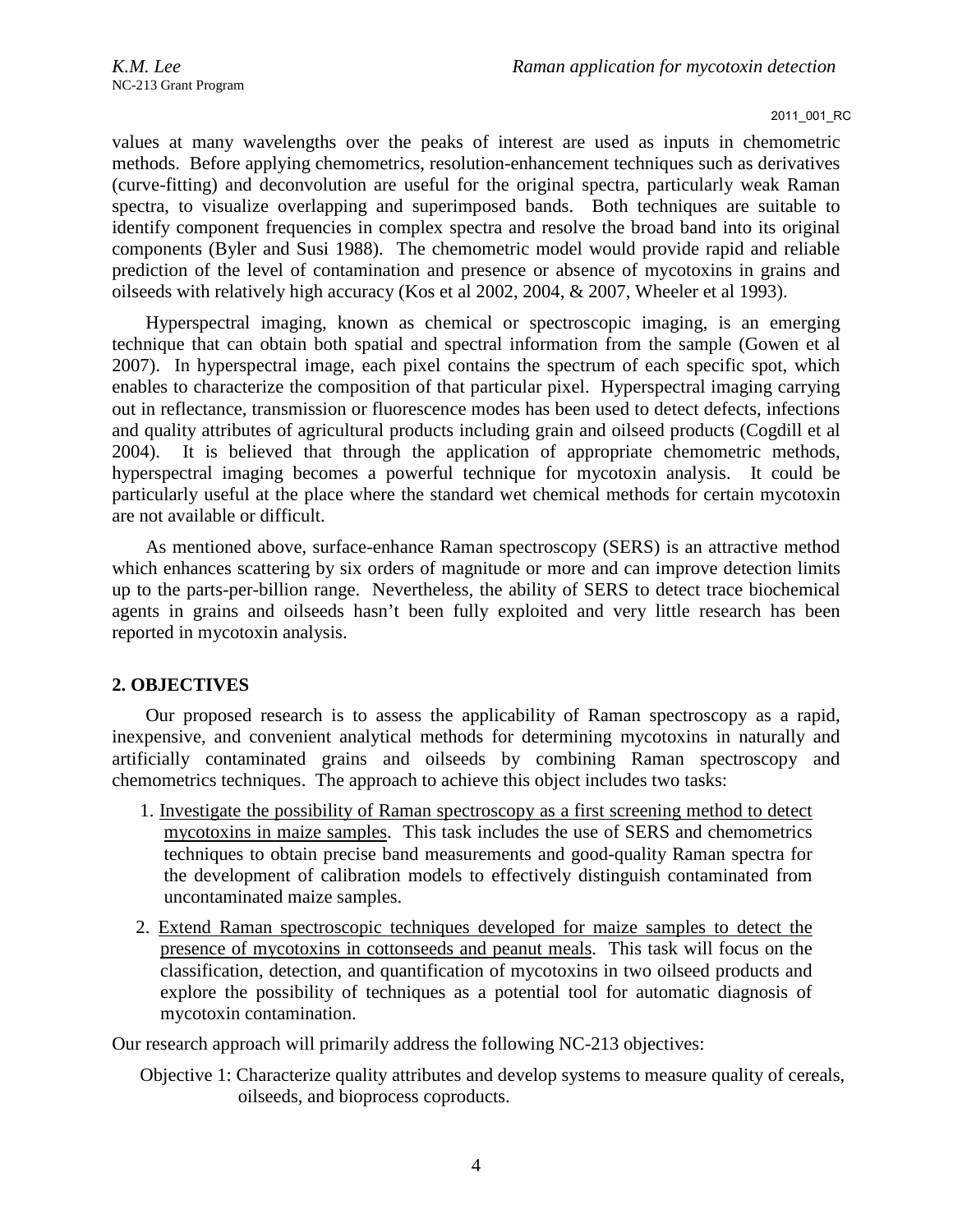values at many wavelengths over the peaks of interest are used as inputs in chemometric methods. Before applying chemometrics, resolution-enhancement techniques such as derivatives (curve-fitting) and deconvolution are useful for the original spectra, particularly weak Raman spectra, to visualize overlapping and superimposed bands. Both techniques are suitable to identify component frequencies in complex spectra and resolve the broad band into its original components (Byler and Susi 1988). The chemometric model would provide rapid and reliable prediction of the level of contamination and presence or absence of mycotoxins in grains and oilseeds with relatively high accuracy (Kos et al 2002, 2004, & 2007, Wheeler et al 1993).

Hyperspectral imaging, known as chemical or spectroscopic imaging, is an emerging technique that can obtain both spatial and spectral information from the sample (Gowen et al 2007). In hyperspectral image, each pixel contains the spectrum of each specific spot, which enables to characterize the composition of that particular pixel. Hyperspectral imaging carrying out in reflectance, transmission or fluorescence modes has been used to detect defects, infections and quality attributes of agricultural products including grain and oilseed products (Cogdill et al 2004). It is believed that through the application of appropriate chemometric methods, hyperspectral imaging becomes a powerful technique for mycotoxin analysis. It could be particularly useful at the place where the standard wet chemical methods for certain mycotoxin are not available or difficult.

As mentioned above, surface-enhance Raman spectroscopy (SERS) is an attractive method which enhances scattering by six orders of magnitude or more and can improve detection limits up to the parts-per-billion range. Nevertheless, the ability of SERS to detect trace biochemical agents in grains and oilseeds hasn't been fully exploited and very little research has been reported in mycotoxin analysis.

### **2. OBJECTIVES**

Our proposed research is to assess the applicability of Raman spectroscopy as a rapid, inexpensive, and convenient analytical methods for determining mycotoxins in naturally and artificially contaminated grains and oilseeds by combining Raman spectroscopy and chemometrics techniques. The approach to achieve this object includes two tasks:

- 1. Investigate the possibility of Raman spectroscopy as a first screening method to detect mycotoxins in maize samples. This task includes the use of SERS and chemometrics techniques to obtain precise band measurements and good-quality Raman spectra for the development of calibration models to effectively distinguish contaminated from uncontaminated maize samples.
- 2. Extend Raman spectroscopic techniques developed for maize samples to detect the presence of mycotoxins in cottonseeds and peanut meals. This task will focus on the classification, detection, and quantification of mycotoxins in two oilseed products and explore the possibility of techniques as a potential tool for automatic diagnosis of mycotoxin contamination.

Our research approach will primarily address the following NC-213 objectives:

Objective 1: Characterize quality attributes and develop systems to measure quality of cereals, oilseeds, and bioprocess coproducts.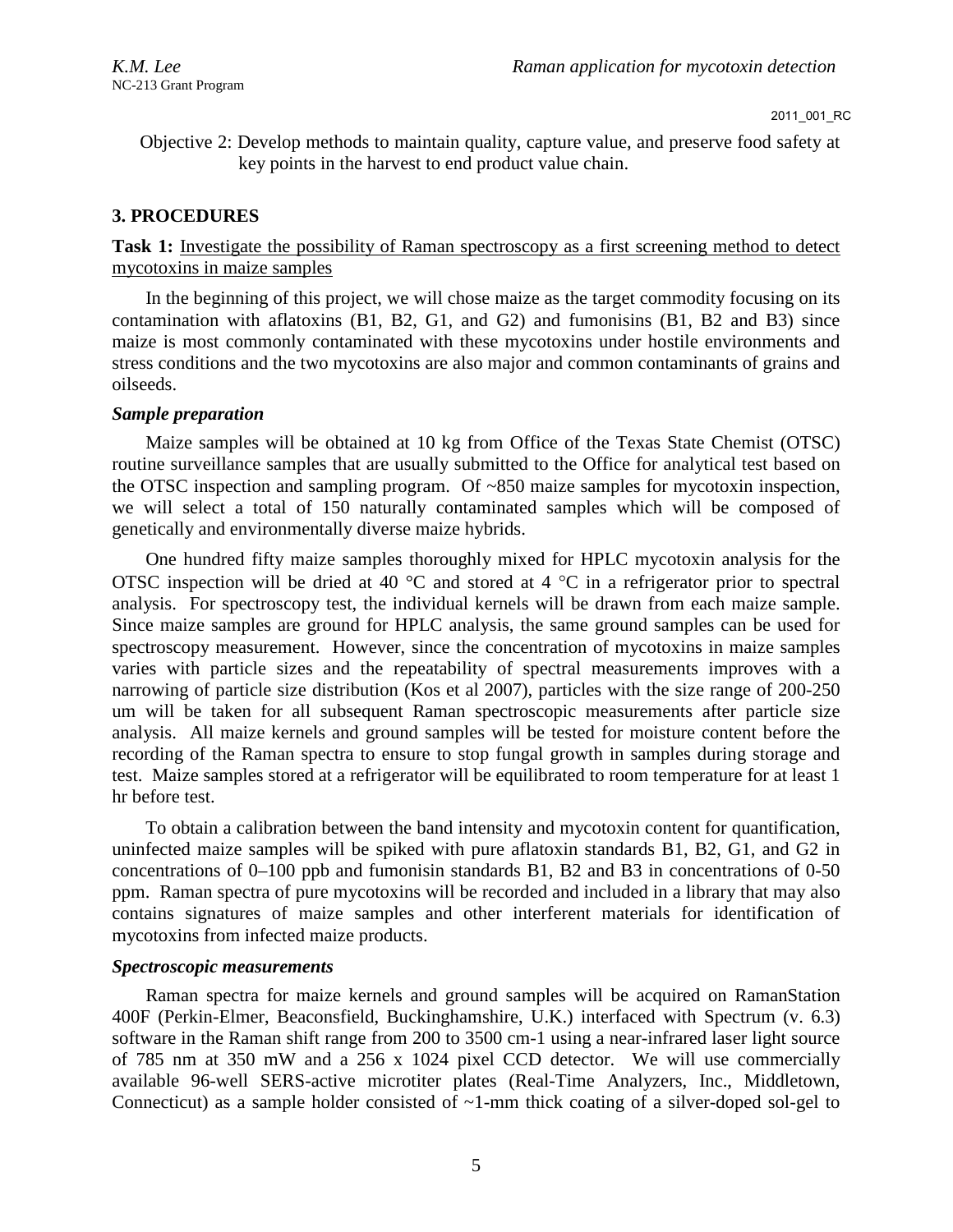Objective 2: Develop methods to maintain quality, capture value, and preserve food safety at key points in the harvest to end product value chain.

# **3. PROCEDURES**

# **Task 1:** Investigate the possibility of Raman spectroscopy as a first screening method to detect mycotoxins in maize samples

In the beginning of this project, we will chose maize as the target commodity focusing on its contamination with aflatoxins (B1, B2, G1, and G2) and fumonisins (B1, B2 and B3) since maize is most commonly contaminated with these mycotoxins under hostile environments and stress conditions and the two mycotoxins are also major and common contaminants of grains and oilseeds.

### *Sample preparation*

Maize samples will be obtained at 10 kg from Office of the Texas State Chemist (OTSC) routine surveillance samples that are usually submitted to the Office for analytical test based on the OTSC inspection and sampling program. Of ~850 maize samples for mycotoxin inspection, we will select a total of 150 naturally contaminated samples which will be composed of genetically and environmentally diverse maize hybrids.

One hundred fifty maize samples thoroughly mixed for HPLC mycotoxin analysis for the OTSC inspection will be dried at 40  $^{\circ}$ C and stored at 4  $^{\circ}$ C in a refrigerator prior to spectral analysis. For spectroscopy test, the individual kernels will be drawn from each maize sample. Since maize samples are ground for HPLC analysis, the same ground samples can be used for spectroscopy measurement. However, since the concentration of mycotoxins in maize samples varies with particle sizes and the repeatability of spectral measurements improves with a narrowing of particle size distribution (Kos et al 2007), particles with the size range of 200-250 um will be taken for all subsequent Raman spectroscopic measurements after particle size analysis. All maize kernels and ground samples will be tested for moisture content before the recording of the Raman spectra to ensure to stop fungal growth in samples during storage and test. Maize samples stored at a refrigerator will be equilibrated to room temperature for at least 1 hr before test.

To obtain a calibration between the band intensity and mycotoxin content for quantification, uninfected maize samples will be spiked with pure aflatoxin standards B1, B2, G1, and G2 in concentrations of 0–100 ppb and fumonisin standards B1, B2 and B3 in concentrations of 0-50 ppm. Raman spectra of pure mycotoxins will be recorded and included in a library that may also contains signatures of maize samples and other interferent materials for identification of mycotoxins from infected maize products.

### *Spectroscopic measurements*

Raman spectra for maize kernels and ground samples will be acquired on RamanStation 400F (Perkin-Elmer, Beaconsfield, Buckinghamshire, U.K.) interfaced with Spectrum (v. 6.3) software in the Raman shift range from 200 to 3500 cm-1 using a near-infrared laser light source of 785 nm at 350 mW and a 256 x 1024 pixel CCD detector. We will use commercially available 96-well SERS-active microtiter plates (Real-Time Analyzers, Inc., Middletown, Connecticut) as a sample holder consisted of ~1-mm thick coating of a silver-doped sol-gel to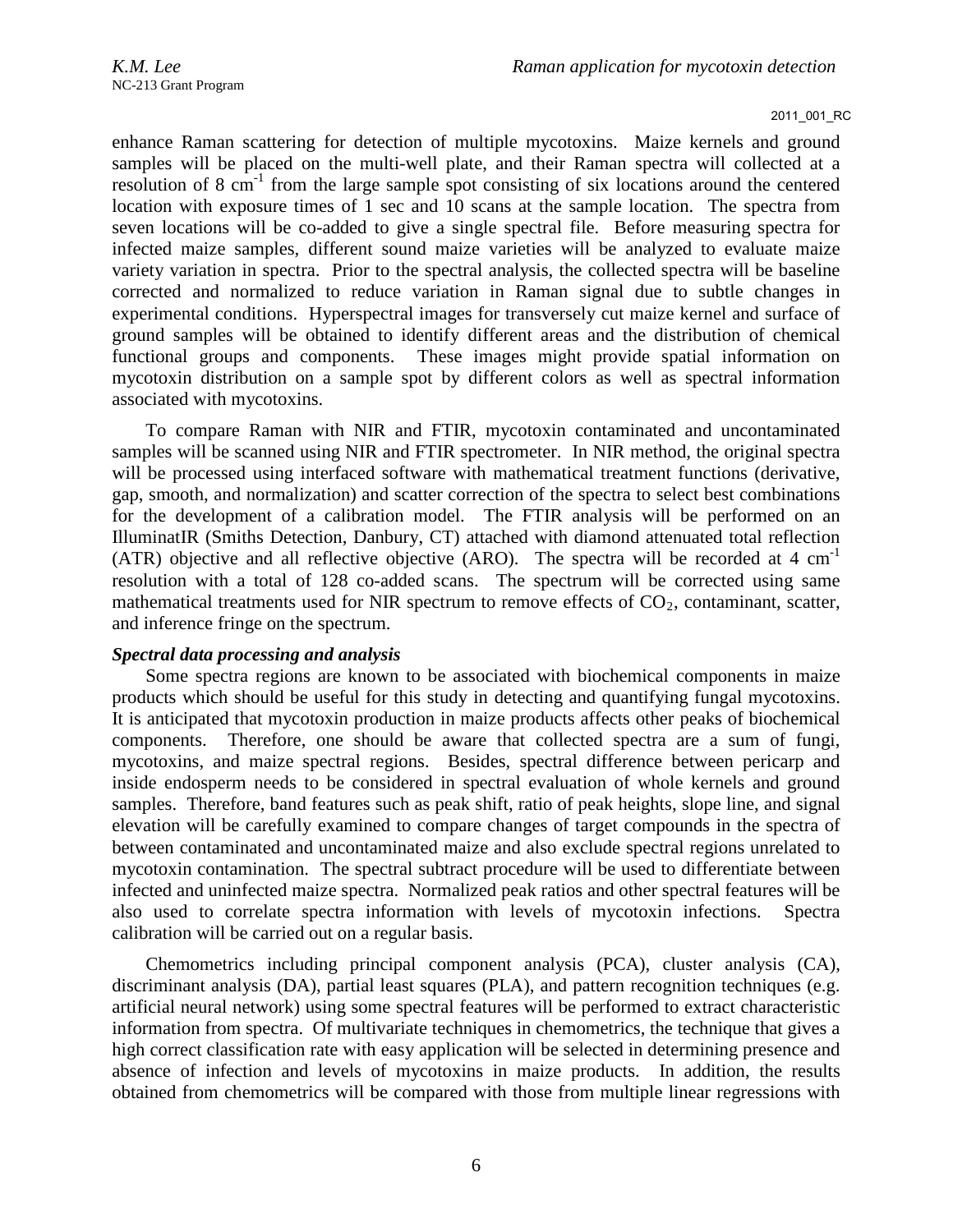enhance Raman scattering for detection of multiple mycotoxins. Maize kernels and ground samples will be placed on the multi-well plate, and their Raman spectra will collected at a resolution of  $8 \text{ cm}^{-1}$  from the large sample spot consisting of six locations around the centered location with exposure times of 1 sec and 10 scans at the sample location. The spectra from seven locations will be co-added to give a single spectral file. Before measuring spectra for infected maize samples, different sound maize varieties will be analyzed to evaluate maize variety variation in spectra. Prior to the spectral analysis, the collected spectra will be baseline corrected and normalized to reduce variation in Raman signal due to subtle changes in experimental conditions. Hyperspectral images for transversely cut maize kernel and surface of ground samples will be obtained to identify different areas and the distribution of chemical functional groups and components. These images might provide spatial information on mycotoxin distribution on a sample spot by different colors as well as spectral information associated with mycotoxins.

To compare Raman with NIR and FTIR, mycotoxin contaminated and uncontaminated samples will be scanned using NIR and FTIR spectrometer. In NIR method, the original spectra will be processed using interfaced software with mathematical treatment functions (derivative, gap, smooth, and normalization) and scatter correction of the spectra to select best combinations for the development of a calibration model. The FTIR analysis will be performed on an IlluminatIR (Smiths Detection, Danbury, CT) attached with diamond attenuated total reflection (ATR) objective and all reflective objective (ARO). The spectra will be recorded at 4  $cm^{-1}$ resolution with a total of 128 co-added scans. The spectrum will be corrected using same mathematical treatments used for NIR spectrum to remove effects of  $CO<sub>2</sub>$ , contaminant, scatter, and inference fringe on the spectrum.

### *Spectral data processing and analysis*

Some spectra regions are known to be associated with biochemical components in maize products which should be useful for this study in detecting and quantifying fungal mycotoxins. It is anticipated that mycotoxin production in maize products affects other peaks of biochemical components. Therefore, one should be aware that collected spectra are a sum of fungi, mycotoxins, and maize spectral regions. Besides, spectral difference between pericarp and inside endosperm needs to be considered in spectral evaluation of whole kernels and ground samples. Therefore, band features such as peak shift, ratio of peak heights, slope line, and signal elevation will be carefully examined to compare changes of target compounds in the spectra of between contaminated and uncontaminated maize and also exclude spectral regions unrelated to mycotoxin contamination. The spectral subtract procedure will be used to differentiate between infected and uninfected maize spectra. Normalized peak ratios and other spectral features will be also used to correlate spectra information with levels of mycotoxin infections. Spectra calibration will be carried out on a regular basis.

Chemometrics including principal component analysis (PCA), cluster analysis (CA), discriminant analysis (DA), partial least squares (PLA), and pattern recognition techniques (e.g. artificial neural network) using some spectral features will be performed to extract characteristic information from spectra. Of multivariate techniques in chemometrics, the technique that gives a high correct classification rate with easy application will be selected in determining presence and absence of infection and levels of mycotoxins in maize products. In addition, the results obtained from chemometrics will be compared with those from multiple linear regressions with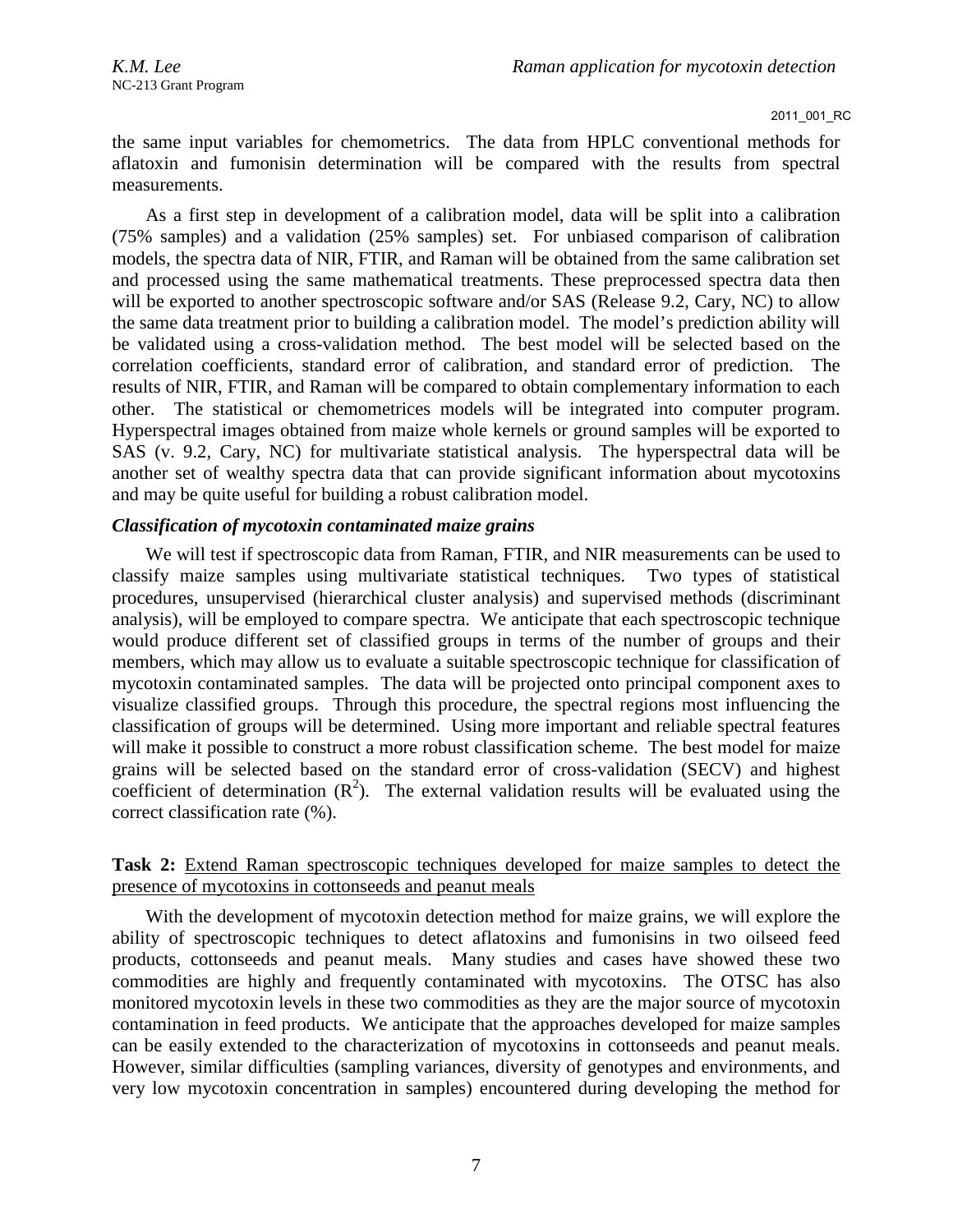the same input variables for chemometrics. The data from HPLC conventional methods for aflatoxin and fumonisin determination will be compared with the results from spectral measurements.

As a first step in development of a calibration model, data will be split into a calibration (75% samples) and a validation (25% samples) set. For unbiased comparison of calibration models, the spectra data of NIR, FTIR, and Raman will be obtained from the same calibration set and processed using the same mathematical treatments. These preprocessed spectra data then will be exported to another spectroscopic software and/or SAS (Release 9.2, Cary, NC) to allow the same data treatment prior to building a calibration model. The model's prediction ability will be validated using a cross-validation method. The best model will be selected based on the correlation coefficients, standard error of calibration, and standard error of prediction. The results of NIR, FTIR, and Raman will be compared to obtain complementary information to each other. The statistical or chemometrices models will be integrated into computer program. Hyperspectral images obtained from maize whole kernels or ground samples will be exported to SAS (v. 9.2, Cary, NC) for multivariate statistical analysis. The hyperspectral data will be another set of wealthy spectra data that can provide significant information about mycotoxins and may be quite useful for building a robust calibration model.

### *Classification of mycotoxin contaminated maize grains*

We will test if spectroscopic data from Raman, FTIR, and NIR measurements can be used to classify maize samples using multivariate statistical techniques. Two types of statistical procedures, unsupervised (hierarchical cluster analysis) and supervised methods (discriminant analysis), will be employed to compare spectra. We anticipate that each spectroscopic technique would produce different set of classified groups in terms of the number of groups and their members, which may allow us to evaluate a suitable spectroscopic technique for classification of mycotoxin contaminated samples. The data will be projected onto principal component axes to visualize classified groups. Through this procedure, the spectral regions most influencing the classification of groups will be determined. Using more important and reliable spectral features will make it possible to construct a more robust classification scheme. The best model for maize grains will be selected based on the standard error of cross-validation (SECV) and highest coefficient of determination  $(R^2)$ . The external validation results will be evaluated using the correct classification rate (%).

# **Task 2:** Extend Raman spectroscopic techniques developed for maize samples to detect the presence of mycotoxins in cottonseeds and peanut meals

With the development of mycotoxin detection method for maize grains, we will explore the ability of spectroscopic techniques to detect aflatoxins and fumonisins in two oilseed feed products, cottonseeds and peanut meals. Many studies and cases have showed these two commodities are highly and frequently contaminated with mycotoxins. The OTSC has also monitored mycotoxin levels in these two commodities as they are the major source of mycotoxin contamination in feed products. We anticipate that the approaches developed for maize samples can be easily extended to the characterization of mycotoxins in cottonseeds and peanut meals. However, similar difficulties (sampling variances, diversity of genotypes and environments, and very low mycotoxin concentration in samples) encountered during developing the method for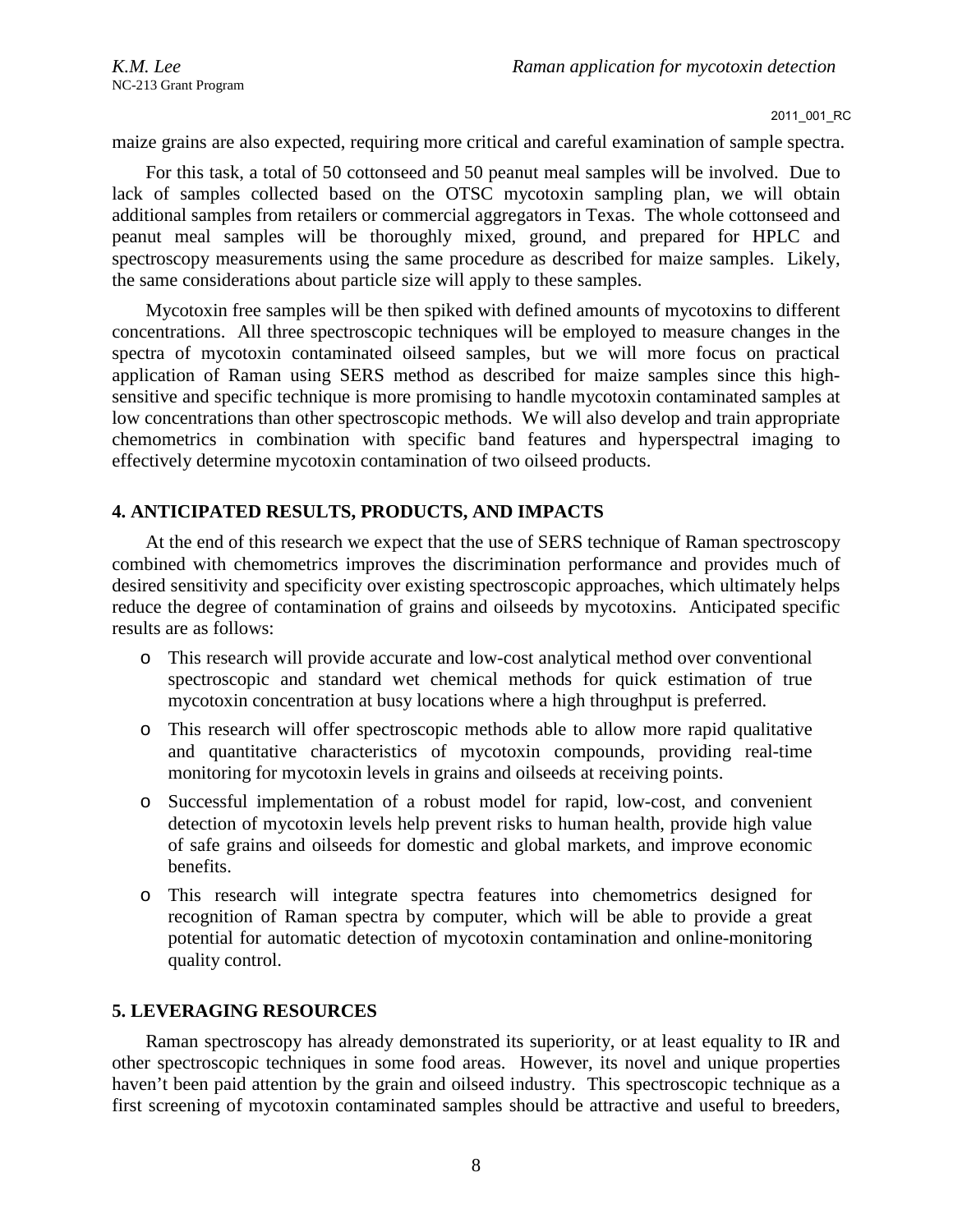maize grains are also expected, requiring more critical and careful examination of sample spectra.

For this task, a total of 50 cottonseed and 50 peanut meal samples will be involved. Due to lack of samples collected based on the OTSC mycotoxin sampling plan, we will obtain additional samples from retailers or commercial aggregators in Texas. The whole cottonseed and peanut meal samples will be thoroughly mixed, ground, and prepared for HPLC and spectroscopy measurements using the same procedure as described for maize samples. Likely, the same considerations about particle size will apply to these samples.

Mycotoxin free samples will be then spiked with defined amounts of mycotoxins to different concentrations. All three spectroscopic techniques will be employed to measure changes in the spectra of mycotoxin contaminated oilseed samples, but we will more focus on practical application of Raman using SERS method as described for maize samples since this highsensitive and specific technique is more promising to handle mycotoxin contaminated samples at low concentrations than other spectroscopic methods. We will also develop and train appropriate chemometrics in combination with specific band features and hyperspectral imaging to effectively determine mycotoxin contamination of two oilseed products.

# **4. ANTICIPATED RESULTS, PRODUCTS, AND IMPACTS**

At the end of this research we expect that the use of SERS technique of Raman spectroscopy combined with chemometrics improves the discrimination performance and provides much of desired sensitivity and specificity over existing spectroscopic approaches, which ultimately helps reduce the degree of contamination of grains and oilseeds by mycotoxins. Anticipated specific results are as follows:

- o This research will provide accurate and low-cost analytical method over conventional spectroscopic and standard wet chemical methods for quick estimation of true mycotoxin concentration at busy locations where a high throughput is preferred.
- o This research will offer spectroscopic methods able to allow more rapid qualitative and quantitative characteristics of mycotoxin compounds, providing real-time monitoring for mycotoxin levels in grains and oilseeds at receiving points.
- o Successful implementation of a robust model for rapid, low-cost, and convenient detection of mycotoxin levels help prevent risks to human health, provide high value of safe grains and oilseeds for domestic and global markets, and improve economic benefits.
- o This research will integrate spectra features into chemometrics designed for recognition of Raman spectra by computer, which will be able to provide a great potential for automatic detection of mycotoxin contamination and online-monitoring quality control.

# **5. LEVERAGING RESOURCES**

Raman spectroscopy has already demonstrated its superiority, or at least equality to IR and other spectroscopic techniques in some food areas. However, its novel and unique properties haven't been paid attention by the grain and oilseed industry. This spectroscopic technique as a first screening of mycotoxin contaminated samples should be attractive and useful to breeders,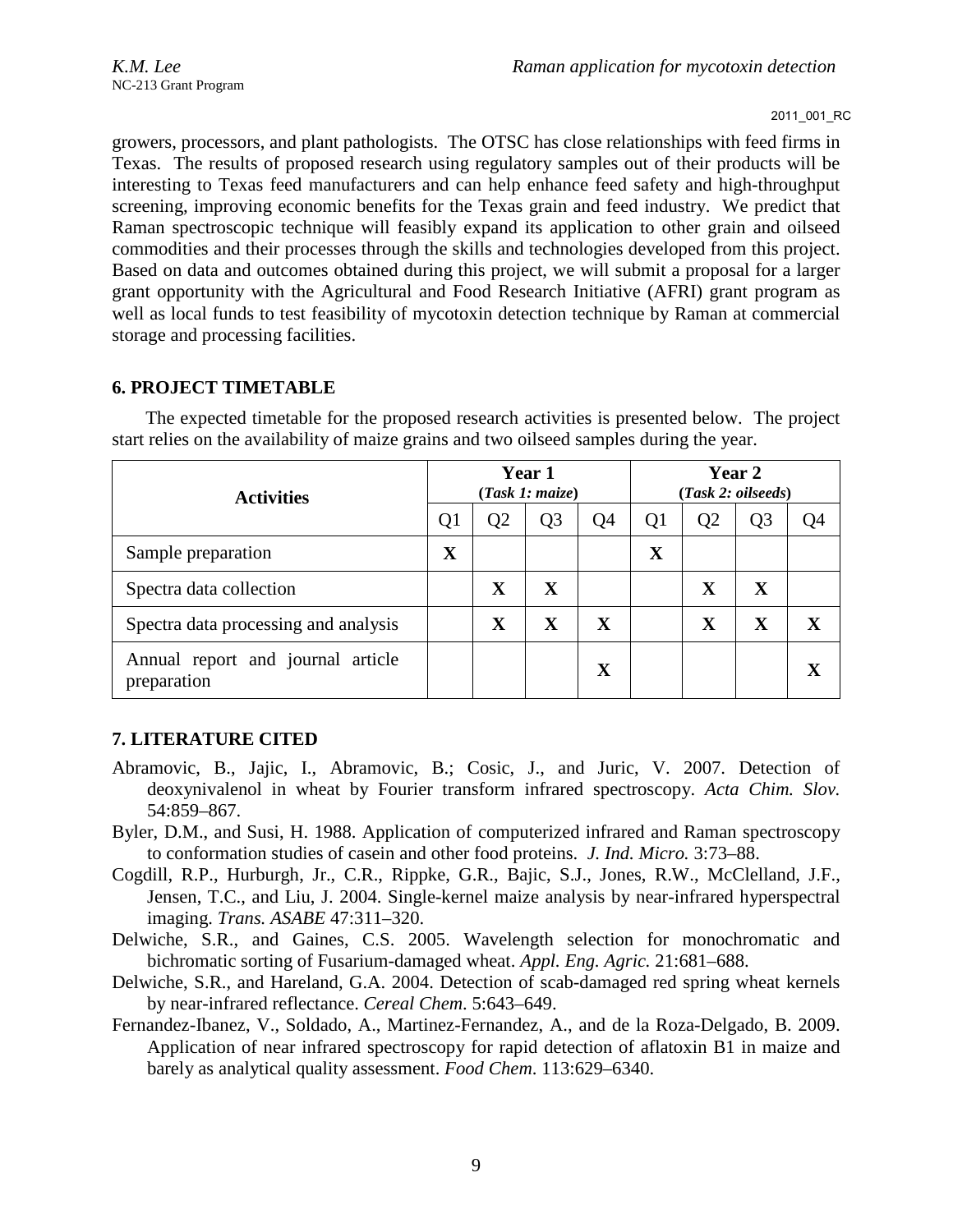growers, processors, and plant pathologists. The OTSC has close relationships with feed firms in Texas. The results of proposed research using regulatory samples out of their products will be interesting to Texas feed manufacturers and can help enhance feed safety and high-throughput screening, improving economic benefits for the Texas grain and feed industry. We predict that Raman spectroscopic technique will feasibly expand its application to other grain and oilseed commodities and their processes through the skills and technologies developed from this project. Based on data and outcomes obtained during this project, we will submit a proposal for a larger grant opportunity with the Agricultural and Food Research Initiative (AFRI) grant program as well as local funds to test feasibility of mycotoxin detection technique by Raman at commercial storage and processing facilities.

# **6. PROJECT TIMETABLE**

| <b>Activities</b>                                |             | Year 1<br>(Task 1: maize) |                |             | Year 2<br>(Task 2: oilseeds) |                |                |    |
|--------------------------------------------------|-------------|---------------------------|----------------|-------------|------------------------------|----------------|----------------|----|
|                                                  |             | O2                        | Q <sub>3</sub> | Q4          | Q1                           | Q <sub>2</sub> | Q <sub>3</sub> | O4 |
| Sample preparation                               | $\mathbf X$ |                           |                |             | X                            |                |                |    |
| Spectra data collection                          |             | $\mathbf X$               | X              |             |                              | X              | X              |    |
| Spectra data processing and analysis             |             | $\mathbf X$               | X              | $\mathbf X$ |                              | X              | $\mathbf X$    |    |
| Annual report and journal article<br>preparation |             |                           |                | $\mathbf X$ |                              |                |                |    |

The expected timetable for the proposed research activities is presented below. The project start relies on the availability of maize grains and two oilseed samples during the year.

# **7. LITERATURE CITED**

- Abramovic, B., Jajic, I., Abramovic, B.; Cosic, J., and Juric, V. 2007. Detection of deoxynivalenol in wheat by Fourier transform infrared spectroscopy. *Acta Chim. Slov.*  54:859–867.
- Byler, D.M., and Susi, H. 1988. Application of computerized infrared and Raman spectroscopy to conformation studies of casein and other food proteins. *J. Ind. Micro.* 3:73–88.
- Cogdill, R.P., Hurburgh, Jr., C.R., Rippke, G.R., Bajic, S.J., Jones, R.W., McClelland, J.F., Jensen, T.C., and Liu, J. 2004. Single-kernel maize analysis by near-infrared hyperspectral imaging. *Trans. ASABE* 47:311–320.
- Delwiche, S.R., and Gaines, C.S. 2005. Wavelength selection for monochromatic and bichromatic sorting of Fusarium-damaged wheat. *Appl. Eng. Agric.* 21:681–688.
- Delwiche, S.R., and Hareland, G.A. 2004. Detection of scab-damaged red spring wheat kernels by near-infrared reflectance. *Cereal Chem*. 5:643–649.
- Fernandez-Ibanez, V., Soldado, A., Martinez-Fernandez, A., and de la Roza-Delgado, B. 2009. Application of near infrared spectroscopy for rapid detection of aflatoxin B1 in maize and barely as analytical quality assessment. *Food Chem*. 113:629–6340.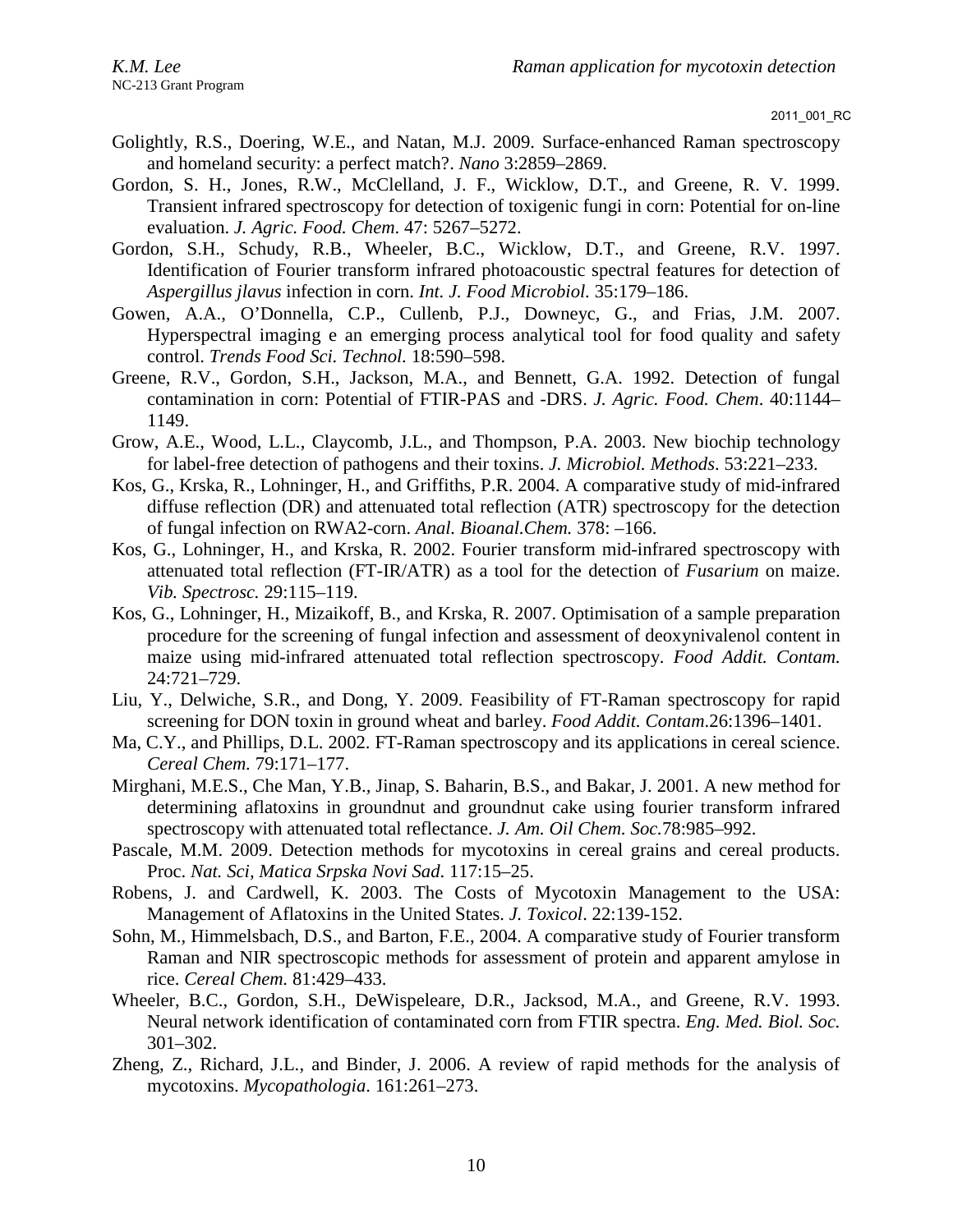- Golightly, R.S., Doering, W.E., and Natan, M.J. 2009. Surface-enhanced Raman spectroscopy and homeland security: a perfect match?. *Nano* 3:2859–2869.
- Gordon, S. H., Jones, R.W., McClelland, J. F., Wicklow, D.T., and Greene, R. V. 1999. Transient infrared spectroscopy for detection of toxigenic fungi in corn: Potential for on-line evaluation. *J. Agric. Food. Chem*. 47: 5267–5272.
- Gordon, S.H., Schudy, R.B., Wheeler, B.C., Wicklow, D.T., and Greene, R.V. 1997. Identification of Fourier transform infrared photoacoustic spectral features for detection of *Aspergillus jlavus* infection in corn. *Int. J. Food Microbiol.* 35:179–186.
- Gowen, A.A., O'Donnella, C.P., Cullenb, P.J., Downeyc, G., and Frias, J.M. 2007. Hyperspectral imaging e an emerging process analytical tool for food quality and safety control. *Trends Food Sci. Technol.* 18:590–598.
- Greene, R.V., Gordon, S.H., Jackson, M.A., and Bennett, G.A. 1992. Detection of fungal contamination in corn: Potential of FTIR-PAS and -DRS. *J. Agric. Food. Chem*. 40:1144– 1149.
- Grow, A.E., Wood, L.L., Claycomb, J.L., and Thompson, P.A. 2003. New biochip technology for label-free detection of pathogens and their toxins. *J. Microbiol. Methods*. 53:221–233.
- Kos, G., Krska, R., Lohninger, H., and Griffiths, P.R. 2004. A comparative study of mid-infrared diffuse reflection (DR) and attenuated total reflection (ATR) spectroscopy for the detection of fungal infection on RWA2-corn. *Anal. Bioanal.Chem.* 378: –166.
- Kos, G., Lohninger, H., and Krska, R. 2002. Fourier transform mid-infrared spectroscopy with attenuated total reflection (FT-IR/ATR) as a tool for the detection of *Fusarium* on maize. *Vib. Spectrosc.* 29:115–119.
- Kos, G., Lohninger, H., Mizaikoff, B., and Krska, R. 2007. Optimisation of a sample preparation procedure for the screening of fungal infection and assessment of deoxynivalenol content in maize using mid-infrared attenuated total reflection spectroscopy. *Food Addit. Contam.*  24:721–729.
- Liu, Y., Delwiche, S.R., and Dong, Y. 2009. Feasibility of FT-Raman spectroscopy for rapid screening for DON toxin in ground wheat and barley. *Food Addit. Contam*.26:1396–1401.
- Ma, C.Y., and Phillips, D.L. 2002. FT-Raman spectroscopy and its applications in cereal science. *Cereal Chem.* 79:171–177.
- Mirghani, M.E.S., Che Man, Y.B.*,* Jinap, S. Baharin, B.S., and Bakar, J. 2001. A new method for determining aflatoxins in groundnut and groundnut cake using fourier transform infrared spectroscopy with attenuated total reflectance. *J. Am. Oil Chem. Soc.*78:985–992.
- Pascale, M.M. 2009. Detection methods for mycotoxins in cereal grains and cereal products. Proc. *Nat. Sci, Matica Srpska Novi Sad*. 117:15–25.
- Robens, J. and Cardwell, K. 2003. The Costs of Mycotoxin Management to the USA: Management of Aflatoxins in the United States. *J. Toxicol*. 22:139-152.
- Sohn, M., Himmelsbach, D.S., and Barton, F.E., 2004. A comparative study of Fourier transform Raman and NIR spectroscopic methods for assessment of protein and apparent amylose in rice. *Cereal Chem.* 81:429–433.
- Wheeler, B.C., Gordon, S.H., DeWispeleare, D.R., Jacksod, M.A., and Greene, R.V. 1993. Neural network identification of contaminated corn from FTIR spectra. *Eng. Med. Biol. Soc.* 301–302.
- Zheng, Z., Richard, J.L., and Binder, J. 2006. A review of rapid methods for the analysis of mycotoxins. *Mycopathologia*. 161:261–273.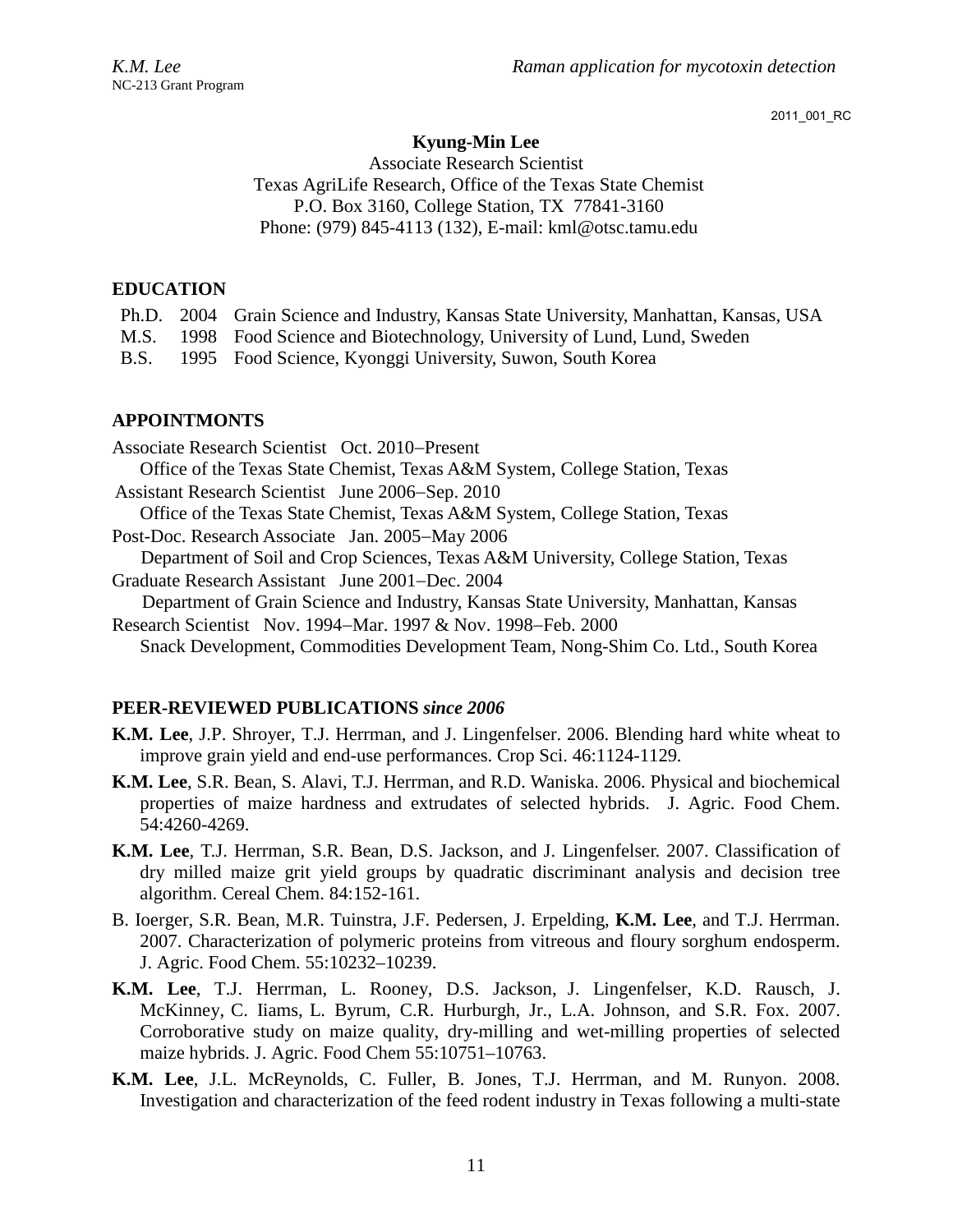# **Kyung-Min Lee**

Associate Research Scientist Texas AgriLife Research, Office of the Texas State Chemist P.O. Box 3160, College Station, TX 77841-3160 Phone: (979) 845-4113 (132), E-mail: kml@otsc.tamu.edu

# **EDUCATION**

|  | Ph.D. 2004 Grain Science and Industry, Kansas State University, Manhattan, Kansas, USA |
|--|----------------------------------------------------------------------------------------|
|  | M.S. 1998 Food Science and Biotechnology, University of Lund, Lund, Sweden             |
|  | B.S. 1995 Food Science, Kyonggi University, Suwon, South Korea                         |

# **APPOINTMONTS**

- Associate Research Scientist Oct. 2010−Present Office of the Texas State Chemist, Texas A&M System, College Station, Texas Assistant Research Scientist June 2006−Sep. 2010 Office of the Texas State Chemist, Texas A&M System, College Station, Texas Post-Doc. Research Associate Jan. 2005−May 2006 Department of Soil and Crop Sciences, Texas A&M University, College Station, Texas Graduate Research Assistant June 2001−Dec. 2004 Department of Grain Science and Industry, Kansas State University, Manhattan, Kansas
- Research Scientist Nov. 1994−Mar. 1997 & Nov. 1998−Feb. 2000 Snack Development, Commodities Development Team, Nong-Shim Co. Ltd., South Korea

# **PEER-REVIEWED PUBLICATIONS** *since 2006*

- **K.M. Lee**, J.P. Shroyer, T.J. Herrman, and J. Lingenfelser. 2006. Blending hard white wheat to improve grain yield and end-use performances. Crop Sci. 46:1124-1129*.*
- **K.M. Lee**, S.R. Bean, S. Alavi, T.J. Herrman, and R.D. Waniska. 2006. Physical and biochemical properties of maize hardness and extrudates of selected hybrids. J. Agric. Food Chem. 54:4260-4269.
- **K.M. Lee**, T.J. Herrman, S.R. Bean, D.S. Jackson, and J. Lingenfelser. 2007. Classification of dry milled maize grit yield groups by quadratic discriminant analysis and decision tree algorithm. Cereal Chem. 84:152-161.
- B. Ioerger, S.R. Bean, M.R. Tuinstra, J.F. Pedersen, J. Erpelding, **K.M. Lee**, and T.J. Herrman. 2007. Characterization of polymeric proteins from vitreous and floury sorghum endosperm. J. Agric. Food Chem. 55:10232–10239.
- **K.M. Lee**, T.J. Herrman, L. Rooney, D.S. Jackson, J. Lingenfelser, K.D. Rausch, J. McKinney, C. Iiams, L. Byrum, C.R. Hurburgh, Jr., L.A. Johnson, and S.R. Fox. 2007. Corroborative study on maize quality, dry-milling and wet-milling properties of selected maize hybrids. J. Agric. Food Chem 55:10751–10763.
- **K.M. Lee**, J.L. McReynolds, C. Fuller, B. Jones, T.J. Herrman, and M. Runyon. 2008. Investigation and characterization of the feed rodent industry in Texas following a multi-state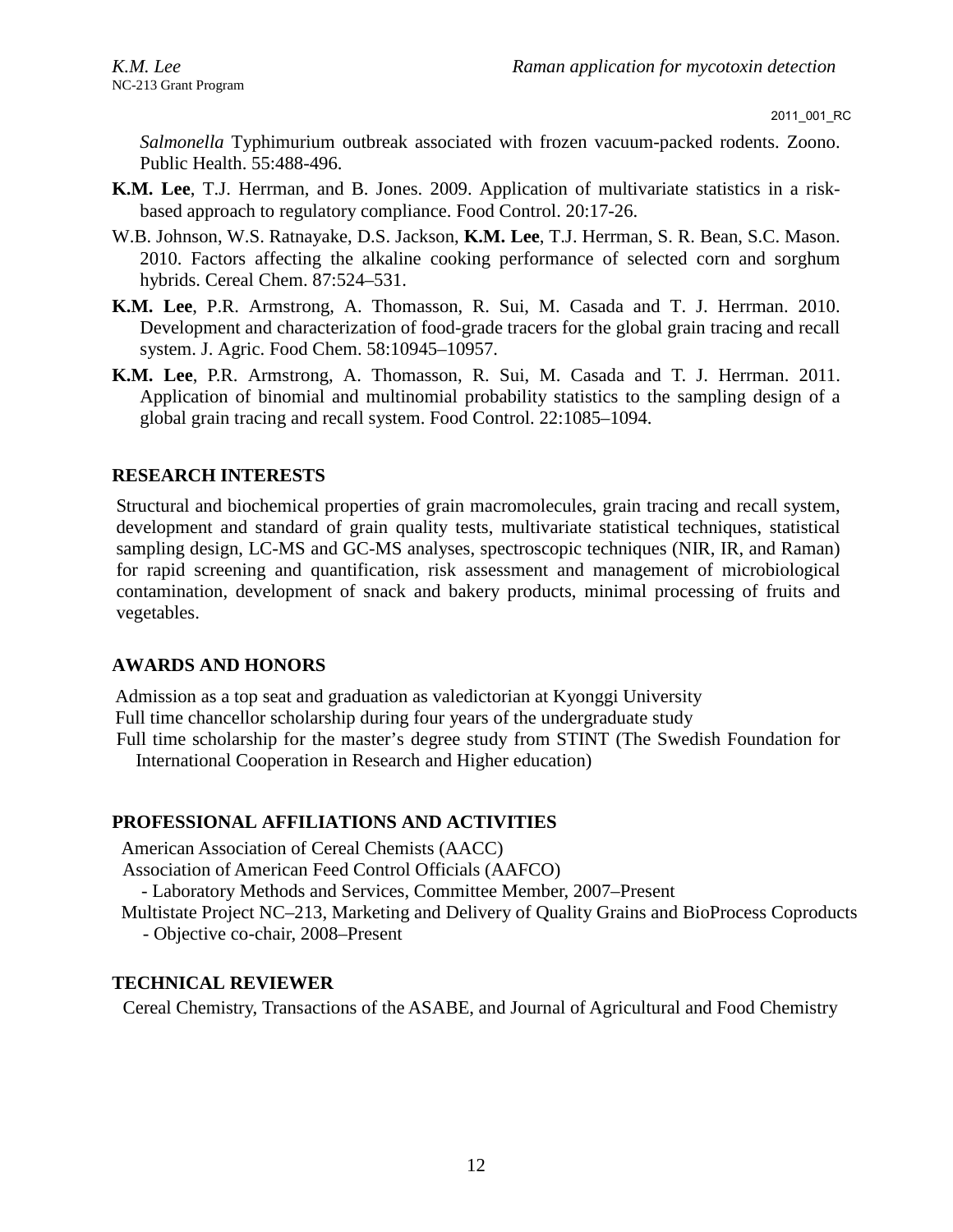*Salmonella* Typhimurium outbreak associated with frozen vacuum-packed rodents. Zoono. Public Health. 55:488-496.

- **K.M. Lee**, T.J. Herrman, and B. Jones. 2009. Application of multivariate statistics in a riskbased approach to regulatory compliance. Food Control. 20:17-26.
- W.B. Johnson, W.S. Ratnayake, D.S. Jackson, **K.M. Lee**, T.J. Herrman, S. R. Bean, S.C. Mason. 2010. Factors affecting the alkaline cooking performance of selected corn and sorghum hybrids. Cereal Chem. 87:524–531.
- **K.M. Lee**, P.R. Armstrong, A. Thomasson, R. Sui, M. Casada and T. J. Herrman. 2010. Development and characterization of food-grade tracers for the global grain tracing and recall system. J. Agric. Food Chem. 58:10945–10957.
- **K.M. Lee**, P.R. Armstrong, A. Thomasson, R. Sui, M. Casada and T. J. Herrman. 2011. Application of binomial and multinomial probability statistics to the sampling design of a global grain tracing and recall system. Food Control. 22:1085–1094.

# **RESEARCH INTERESTS**

Structural and biochemical properties of grain macromolecules, grain tracing and recall system, development and standard of grain quality tests, multivariate statistical techniques, statistical sampling design, LC-MS and GC-MS analyses, spectroscopic techniques (NIR, IR, and Raman) for rapid screening and quantification, risk assessment and management of microbiological contamination, development of snack and bakery products, minimal processing of fruits and vegetables.

### **AWARDS AND HONORS**

Admission as a top seat and graduation as valedictorian at Kyonggi University Full time chancellor scholarship during four years of the undergraduate study Full time scholarship for the master's degree study from STINT (The Swedish Foundation for

International Cooperation in Research and Higher education)

# **PROFESSIONAL AFFILIATIONS AND ACTIVITIES**

American Association of Cereal Chemists (AACC)

Association of American Feed Control Officials (AAFCO)

- Laboratory Methods and Services, Committee Member, 2007–Present

Multistate Project NC–213, Marketing and Delivery of Quality Grains and BioProcess Coproducts - Objective co-chair, 2008–Present

### **TECHNICAL REVIEWER**

Cereal Chemistry, Transactions of the ASABE, and Journal of Agricultural and Food Chemistry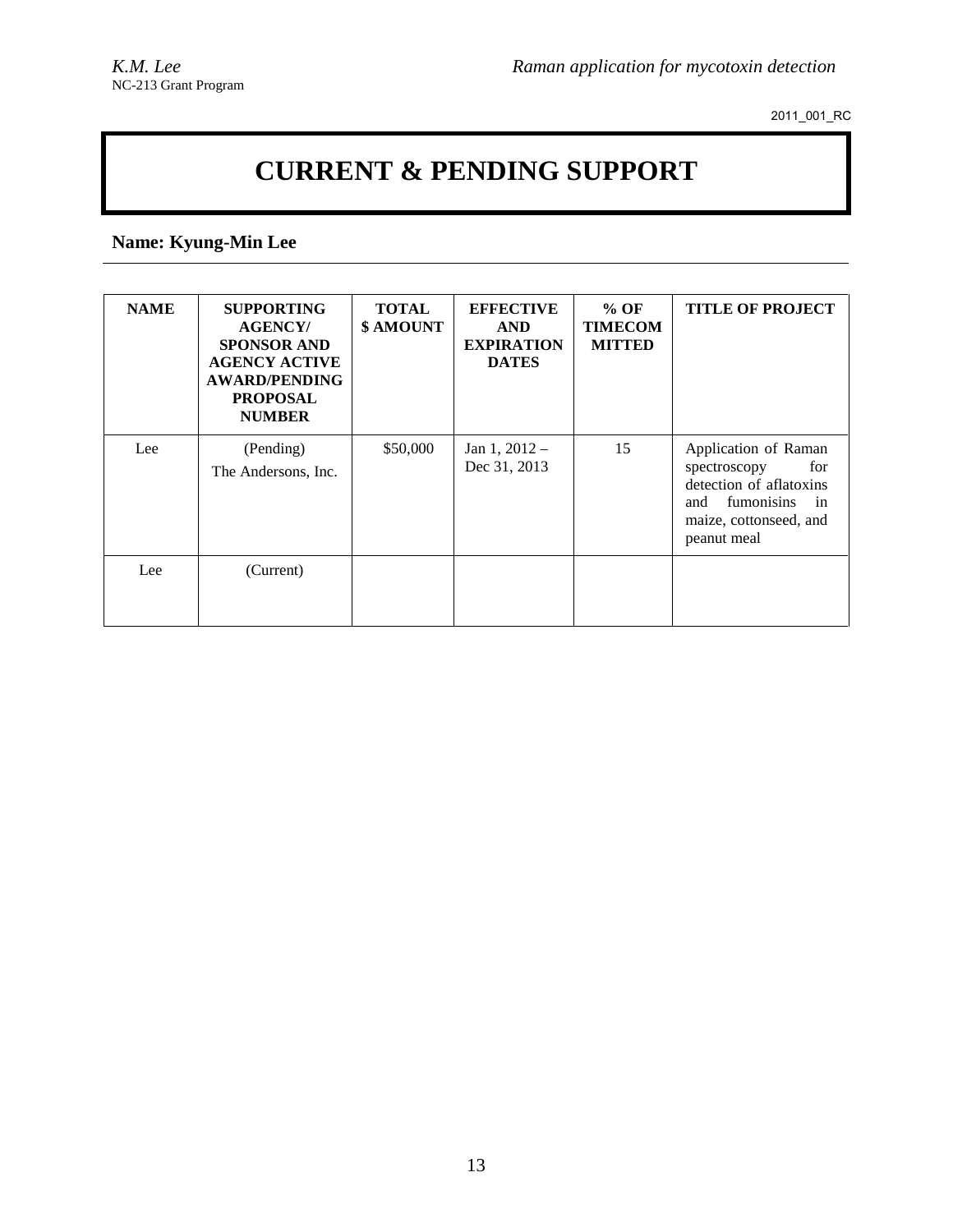# **CURRENT & PENDING SUPPORT**

# **Name: Kyung-Min Lee**

| <b>NAME</b> | <b>SUPPORTING</b><br><b>AGENCY/</b><br><b>SPONSOR AND</b><br><b>AGENCY ACTIVE</b><br><b>AWARD/PENDING</b><br><b>PROPOSAL</b><br><b>NUMBER</b> | <b>TOTAL</b><br>\$ AMOUNT | <b>EFFECTIVE</b><br><b>AND</b><br><b>EXPIRATION</b><br><b>DATES</b> | $%$ OF<br><b>TIMECOM</b><br><b>MITTED</b> | <b>TITLE OF PROJECT</b>                                                                                                                    |
|-------------|-----------------------------------------------------------------------------------------------------------------------------------------------|---------------------------|---------------------------------------------------------------------|-------------------------------------------|--------------------------------------------------------------------------------------------------------------------------------------------|
| Lee         | (Pending)<br>The Andersons, Inc.                                                                                                              | \$50,000                  | Jan $1, 2012 -$<br>Dec 31, 2013                                     | 15                                        | Application of Raman<br>spectroscopy<br>for<br>detection of aflatoxins<br>fumonisins<br>and<br>in<br>maize, cottonseed, and<br>peanut meal |
| Lee         | (Current)                                                                                                                                     |                           |                                                                     |                                           |                                                                                                                                            |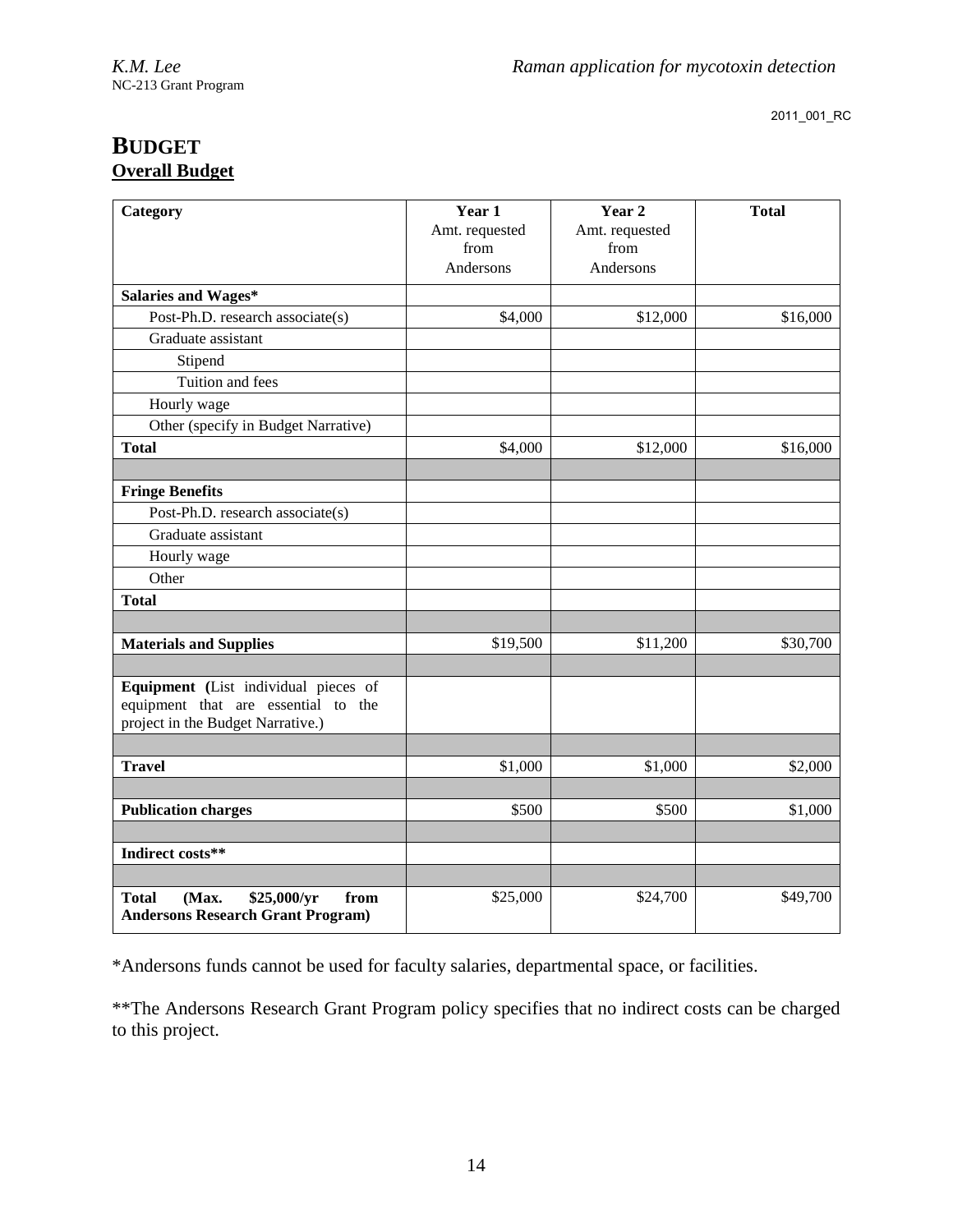# **BUDGET Overall Budget**

| Category                                                                 | Year 1                 | Year 2                 | <b>Total</b> |
|--------------------------------------------------------------------------|------------------------|------------------------|--------------|
|                                                                          | Amt. requested<br>from | Amt. requested<br>from |              |
|                                                                          | Andersons              | Andersons              |              |
| <b>Salaries and Wages*</b>                                               |                        |                        |              |
| Post-Ph.D. research associate(s)                                         | \$4,000                | \$12,000               | \$16,000     |
| Graduate assistant                                                       |                        |                        |              |
| Stipend                                                                  |                        |                        |              |
| Tuition and fees                                                         |                        |                        |              |
| Hourly wage                                                              |                        |                        |              |
| Other (specify in Budget Narrative)                                      |                        |                        |              |
| <b>Total</b>                                                             | \$4,000                | \$12,000               | \$16,000     |
|                                                                          |                        |                        |              |
| <b>Fringe Benefits</b>                                                   |                        |                        |              |
| Post-Ph.D. research associate(s)                                         |                        |                        |              |
| Graduate assistant                                                       |                        |                        |              |
| Hourly wage                                                              |                        |                        |              |
| Other                                                                    |                        |                        |              |
| <b>Total</b>                                                             |                        |                        |              |
|                                                                          |                        |                        |              |
| <b>Materials and Supplies</b>                                            | \$19,500               | \$11,200               | \$30,700     |
|                                                                          |                        |                        |              |
| Equipment (List individual pieces of                                     |                        |                        |              |
| equipment that are essential to the<br>project in the Budget Narrative.) |                        |                        |              |
|                                                                          |                        |                        |              |
| <b>Travel</b>                                                            | \$1,000                | \$1,000                | \$2,000      |
|                                                                          |                        |                        |              |
| <b>Publication charges</b>                                               | \$500                  | \$500                  | \$1,000      |
|                                                                          |                        |                        |              |
| Indirect costs**                                                         |                        |                        |              |
|                                                                          |                        |                        |              |
| \$25,000/yr<br><b>Total</b><br>(Max.<br>from                             | \$25,000               | \$24,700               | \$49,700     |
| <b>Andersons Research Grant Program)</b>                                 |                        |                        |              |

\*Andersons funds cannot be used for faculty salaries, departmental space, or facilities.

\*\*The Andersons Research Grant Program policy specifies that no indirect costs can be charged to this project.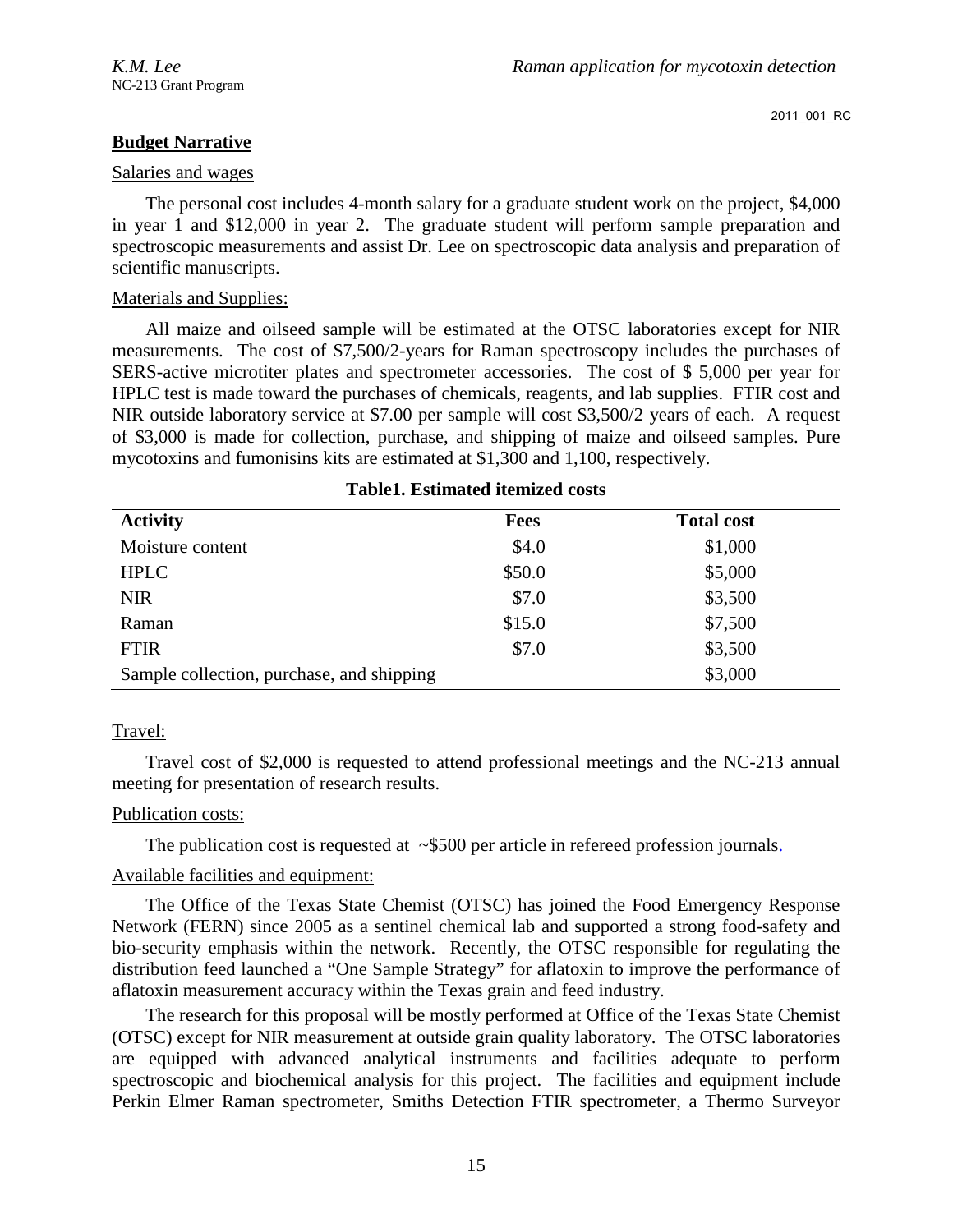# **Budget Narrative**

## Salaries and wages

The personal cost includes 4-month salary for a graduate student work on the project, \$4,000 in year 1 and \$12,000 in year 2. The graduate student will perform sample preparation and spectroscopic measurements and assist Dr. Lee on spectroscopic data analysis and preparation of scientific manuscripts.

## Materials and Supplies:

All maize and oilseed sample will be estimated at the OTSC laboratories except for NIR measurements. The cost of \$7,500/2-years for Raman spectroscopy includes the purchases of SERS-active microtiter plates and spectrometer accessories. The cost of \$ 5,000 per year for HPLC test is made toward the purchases of chemicals, reagents, and lab supplies. FTIR cost and NIR outside laboratory service at \$7.00 per sample will cost \$3,500/2 years of each. A request of \$3,000 is made for collection, purchase, and shipping of maize and oilseed samples. Pure mycotoxins and fumonisins kits are estimated at \$1,300 and 1,100, respectively.

| <b>Activity</b>                           | <b>Fees</b> | <b>Total cost</b> |
|-------------------------------------------|-------------|-------------------|
| Moisture content                          | \$4.0       | \$1,000           |
| <b>HPLC</b>                               | \$50.0      | \$5,000           |
| <b>NIR</b>                                | \$7.0       | \$3,500           |
| Raman                                     | \$15.0      | \$7,500           |
| <b>FTIR</b>                               | \$7.0       | \$3,500           |
| Sample collection, purchase, and shipping |             | \$3,000           |

### **Table1. Estimated itemized costs**

# Travel:

Travel cost of \$2,000 is requested to attend professional meetings and the NC-213 annual meeting for presentation of research results.

# Publication costs:

The publication cost is requested at  $\sim$ \$500 per article in refereed profession journals.

# Available facilities and equipment:

The Office of the Texas State Chemist (OTSC) has joined the Food Emergency Response Network (FERN) since 2005 as a sentinel chemical lab and supported a strong food-safety and bio-security emphasis within the network. Recently, the OTSC responsible for regulating the distribution feed launched a "One Sample Strategy" for aflatoxin to improve the performance of aflatoxin measurement accuracy within the Texas grain and feed industry.

The research for this proposal will be mostly performed at Office of the Texas State Chemist (OTSC) except for NIR measurement at outside grain quality laboratory. The OTSC laboratories are equipped with advanced analytical instruments and facilities adequate to perform spectroscopic and biochemical analysis for this project. The facilities and equipment include Perkin Elmer Raman spectrometer, Smiths Detection FTIR spectrometer, a Thermo Surveyor